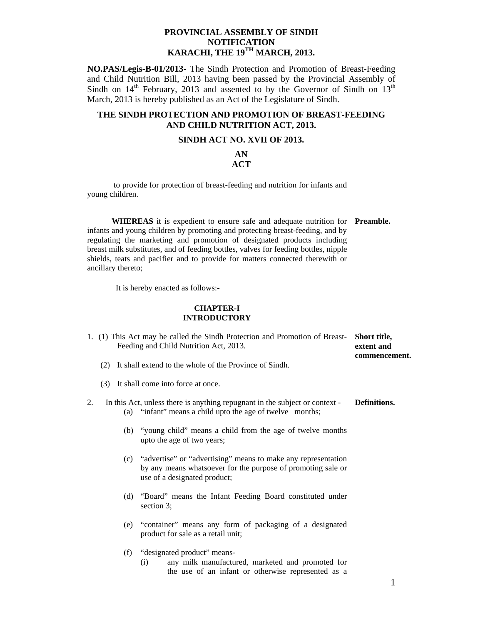# **PROVINCIAL ASSEMBLY OF SINDH NOTIFICATION KARACHI, THE 19TH MARCH, 2013.**

**NO.PAS/Legis-B-01/2013-** The Sindh Protection and Promotion of Breast-Feeding and Child Nutrition Bill, 2013 having been passed by the Provincial Assembly of Sindh on  $14<sup>th</sup>$  February, 2013 and assented to by the Governor of Sindh on  $13<sup>th</sup>$ March, 2013 is hereby published as an Act of the Legislature of Sindh.

# **THE SINDH PROTECTION AND PROMOTION OF BREAST-FEEDING AND CHILD NUTRITION ACT, 2013.**

# **SINDH ACT NO. XVII OF 2013.**

### **AN ACT**

 to provide for protection of breast-feeding and nutrition for infants and young children.

 **WHEREAS** it is expedient to ensure safe and adequate nutrition for **Preamble.**  infants and young children by promoting and protecting breast-feeding, and by regulating the marketing and promotion of designated products including breast milk substitutes, and of feeding bottles, valves for feeding bottles, nipple shields, teats and pacifier and to provide for matters connected therewith or ancillary thereto;

It is hereby enacted as follows:-

## **CHAPTER-I INTRODUCTORY**

|    |     | 1. (1) This Act may be called the Sindh Protection and Promotion of Breast-<br>Feeding and Child Nutrition Act, 2013.                    | <b>Short title,</b><br>extent and<br>commencement. |  |
|----|-----|------------------------------------------------------------------------------------------------------------------------------------------|----------------------------------------------------|--|
|    | (2) | It shall extend to the whole of the Province of Sindh.                                                                                   |                                                    |  |
|    |     | (3) It shall come into force at once.                                                                                                    |                                                    |  |
| 2. |     | In this Act, unless there is anything repugnant in the subject or context -<br>(a) "infant" means a child upto the age of twelve months; | Definitions.                                       |  |

- (b) "young child" means a child from the age of twelve months upto the age of two years;
- (c) "advertise" or "advertising" means to make any representation by any means whatsoever for the purpose of promoting sale or use of a designated product;
- (d) "Board" means the Infant Feeding Board constituted under section 3;
- (e) "container" means any form of packaging of a designated product for sale as a retail unit;
- (f) "designated product" means-
	- (i) any milk manufactured, marketed and promoted for the use of an infant or otherwise represented as a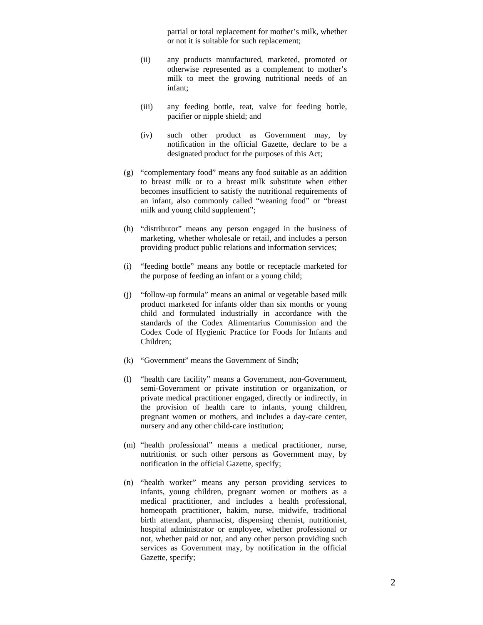partial or total replacement for mother's milk, whether or not it is suitable for such replacement;

- (ii) any products manufactured, marketed, promoted or otherwise represented as a complement to mother's milk to meet the growing nutritional needs of an infant;
- (iii) any feeding bottle, teat, valve for feeding bottle, pacifier or nipple shield; and
- (iv) such other product as Government may, by notification in the official Gazette, declare to be a designated product for the purposes of this Act;
- (g) "complementary food" means any food suitable as an addition to breast milk or to a breast milk substitute when either becomes insufficient to satisfy the nutritional requirements of an infant, also commonly called "weaning food" or "breast milk and young child supplement";
- (h) "distributor" means any person engaged in the business of marketing, whether wholesale or retail, and includes a person providing product public relations and information services;
- (i) "feeding bottle" means any bottle or receptacle marketed for the purpose of feeding an infant or a young child;
- (j) "follow-up formula" means an animal or vegetable based milk product marketed for infants older than six months or young child and formulated industrially in accordance with the standards of the Codex Alimentarius Commission and the Codex Code of Hygienic Practice for Foods for Infants and Children;
- (k) "Government" means the Government of Sindh;
- (l) "health care facility" means a Government, non-Government, semi-Government or private institution or organization, or private medical practitioner engaged, directly or indirectly, in the provision of health care to infants, young children, pregnant women or mothers, and includes a day-care center, nursery and any other child-care institution;
- (m) "health professional" means a medical practitioner, nurse, nutritionist or such other persons as Government may, by notification in the official Gazette, specify;
- (n) "health worker" means any person providing services to infants, young children, pregnant women or mothers as a medical practitioner, and includes a health professional, homeopath practitioner, hakim, nurse, midwife, traditional birth attendant, pharmacist, dispensing chemist, nutritionist, hospital administrator or employee, whether professional or not, whether paid or not, and any other person providing such services as Government may, by notification in the official Gazette, specify;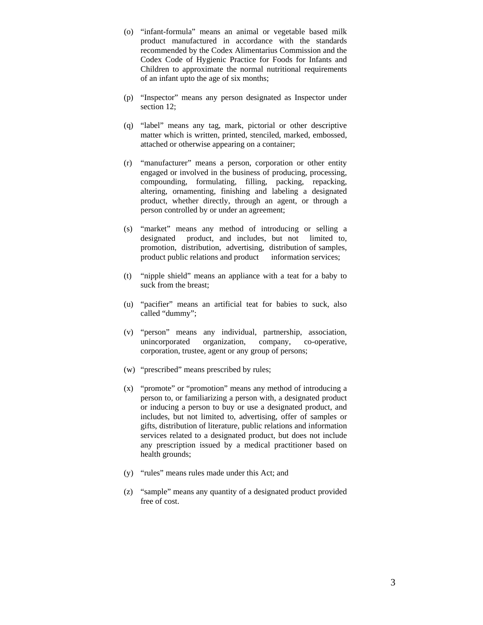- (o) "infant-formula" means an animal or vegetable based milk product manufactured in accordance with the standards recommended by the Codex Alimentarius Commission and the Codex Code of Hygienic Practice for Foods for Infants and Children to approximate the normal nutritional requirements of an infant upto the age of six months;
- (p) "Inspector" means any person designated as Inspector under section 12;
- (q) "label" means any tag, mark, pictorial or other descriptive matter which is written, printed, stenciled, marked, embossed, attached or otherwise appearing on a container;
- (r) "manufacturer" means a person, corporation or other entity engaged or involved in the business of producing, processing, compounding, formulating, filling, packing, repacking, altering, ornamenting, finishing and labeling a designated product, whether directly, through an agent, or through a person controlled by or under an agreement;
- (s) "market" means any method of introducing or selling a designated product, and includes, but not limited to, promotion, distribution, advertising, distribution of samples, product public relations and product information services;
- (t) "nipple shield" means an appliance with a teat for a baby to suck from the breast;
- (u) "pacifier" means an artificial teat for babies to suck, also called "dummy";
- (v) "person" means any individual, partnership, association, unincorporated organization, company, co-operative, corporation, trustee, agent or any group of persons;
- (w) "prescribed" means prescribed by rules;
- (x) "promote" or "promotion" means any method of introducing a person to, or familiarizing a person with, a designated product or inducing a person to buy or use a designated product, and includes, but not limited to, advertising, offer of samples or gifts, distribution of literature, public relations and information services related to a designated product, but does not include any prescription issued by a medical practitioner based on health grounds;
- (y) "rules" means rules made under this Act; and
- (z) "sample" means any quantity of a designated product provided free of cost.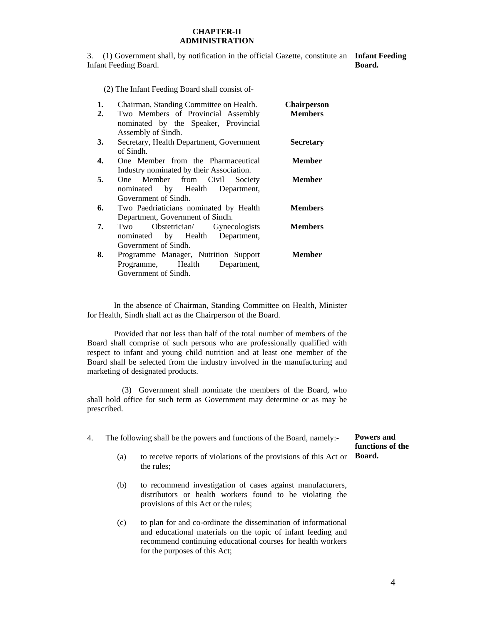## **CHAPTER-II ADMINISTRATION**

3. (1) Government shall, by notification in the official Gazette, constitute an **Infant Feeding**  Infant Feeding Board. **Board.** 

(2) The Infant Feeding Board shall consist of-

| 1.<br>2. | Chairman, Standing Committee on Health.<br>Two Members of Provincial Assembly<br>nominated by the Speaker, Provincial | Chairperson<br><b>Members</b> |
|----------|-----------------------------------------------------------------------------------------------------------------------|-------------------------------|
| 3.       | Assembly of Sindh.<br>Secretary, Health Department, Government<br>of Sindh.                                           | <b>Secretary</b>              |
| 4.       | One Member from the Pharmaceutical<br>Industry nominated by their Association.                                        | <b>Member</b>                 |
| 5.       | One Member from Civil Society<br>nominated by Health Department,<br>Government of Sindh.                              | <b>Member</b>                 |
| 6.       | Two Paedriaticians nominated by Health<br>Department, Government of Sindh.                                            | <b>Members</b>                |
| 7.       | Obstetrician/ Gynecologists<br>Two<br>nominated by Health Department,<br>Government of Sindh.                         | <b>Members</b>                |
| 8.       | Programme Manager, Nutrition Support<br>Programme, Health<br>Department.<br>Government of Sindh.                      | <b>Member</b>                 |

In the absence of Chairman, Standing Committee on Health, Minister for Health, Sindh shall act as the Chairperson of the Board.

Provided that not less than half of the total number of members of the Board shall comprise of such persons who are professionally qualified with respect to infant and young child nutrition and at least one member of the Board shall be selected from the industry involved in the manufacturing and marketing of designated products.

 (3) Government shall nominate the members of the Board, who shall hold office for such term as Government may determine or as may be prescribed.

| 4. | The following shall be the powers and functions of the Board, namely:- | Powers and<br>functions of the                                                                                                                                 |        |
|----|------------------------------------------------------------------------|----------------------------------------------------------------------------------------------------------------------------------------------------------------|--------|
|    | (a)                                                                    | to receive reports of violations of the provisions of this Act or<br>the rules:                                                                                | Board. |
|    | (b)                                                                    | to recommend investigation of cases against manufacturers,<br>distributors or health workers found to be violating the<br>provisions of this Act or the rules; |        |

(c) to plan for and co-ordinate the dissemination of informational and educational materials on the topic of infant feeding and recommend continuing educational courses for health workers for the purposes of this Act;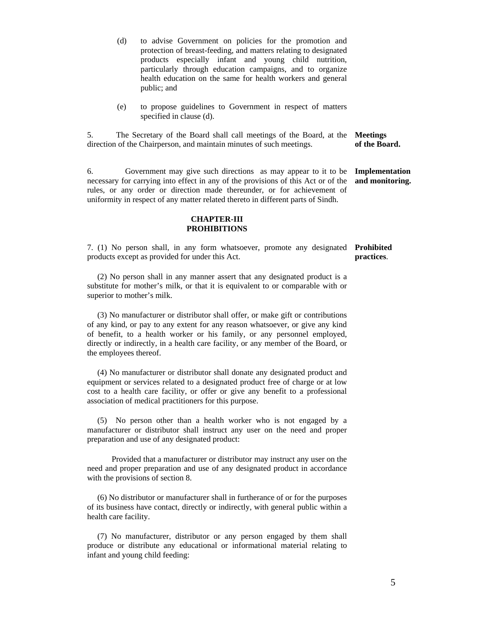- (d) to advise Government on policies for the promotion and protection of breast-feeding, and matters relating to designated products especially infant and young child nutrition, particularly through education campaigns, and to organize health education on the same for health workers and general public; and
- (e) to propose guidelines to Government in respect of matters specified in clause (d).

5. The Secretary of the Board shall call meetings of the Board, at the **Meetings**  direction of the Chairperson, and maintain minutes of such meetings.

6. Government may give such directions as may appear to it to be necessary for carrying into effect in any of the provisions of this Act or of the rules, or any order or direction made thereunder, or for achievement of uniformity in respect of any matter related thereto in different parts of Sindh. **Implementation and monitoring.** 

**of the Board.** 

# **CHAPTER-III PROHIBITIONS**

7. (1) No person shall, in any form whatsoever, promote any designated **Prohibited**  products except as provided for under this Act. **practices**.

 (2) No person shall in any manner assert that any designated product is a substitute for mother's milk, or that it is equivalent to or comparable with or superior to mother's milk.

 (3) No manufacturer or distributor shall offer, or make gift or contributions of any kind, or pay to any extent for any reason whatsoever, or give any kind of benefit, to a health worker or his family, or any personnel employed, directly or indirectly, in a health care facility, or any member of the Board, or the employees thereof.

 (4) No manufacturer or distributor shall donate any designated product and equipment or services related to a designated product free of charge or at low cost to a health care facility, or offer or give any benefit to a professional association of medical practitioners for this purpose.

 (5) No person other than a health worker who is not engaged by a manufacturer or distributor shall instruct any user on the need and proper preparation and use of any designated product:

 Provided that a manufacturer or distributor may instruct any user on the need and proper preparation and use of any designated product in accordance with the provisions of section 8.

 (6) No distributor or manufacturer shall in furtherance of or for the purposes of its business have contact, directly or indirectly, with general public within a health care facility.

 (7) No manufacturer, distributor or any person engaged by them shall produce or distribute any educational or informational material relating to infant and young child feeding: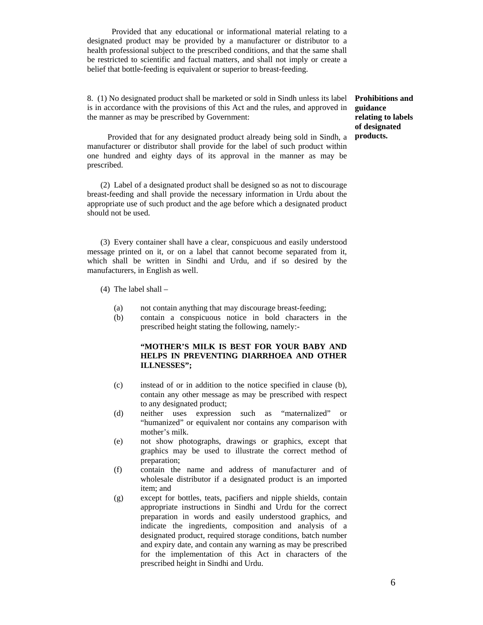Provided that any educational or informational material relating to a designated product may be provided by a manufacturer or distributor to a health professional subject to the prescribed conditions, and that the same shall be restricted to scientific and factual matters, and shall not imply or create a belief that bottle-feeding is equivalent or superior to breast-feeding.

8. (1) No designated product shall be marketed or sold in Sindh unless its label is in accordance with the provisions of this Act and the rules, and approved in the manner as may be prescribed by Government:

 Provided that for any designated product already being sold in Sindh, a manufacturer or distributor shall provide for the label of such product within one hundred and eighty days of its approval in the manner as may be prescribed.

(2) Label of a designated product shall be designed so as not to discourage breast-feeding and shall provide the necessary information in Urdu about the appropriate use of such product and the age before which a designated product should not be used.

(3) Every container shall have a clear, conspicuous and easily understood message printed on it, or on a label that cannot become separated from it, which shall be written in Sindhi and Urdu, and if so desired by the manufacturers, in English as well.

- (4) The label shall
	- (a) not contain anything that may discourage breast-feeding;
	- (b) contain a conspicuous notice in bold characters in the prescribed height stating the following, namely:-

## **"MOTHER'S MILK IS BEST FOR YOUR BABY AND HELPS IN PREVENTING DIARRHOEA AND OTHER ILLNESSES";**

- (c) instead of or in addition to the notice specified in clause (b), contain any other message as may be prescribed with respect to any designated product;
- (d) neither uses expression such as "maternalized" or "humanized" or equivalent nor contains any comparison with mother's milk.
- (e) not show photographs, drawings or graphics, except that graphics may be used to illustrate the correct method of preparation;
- (f) contain the name and address of manufacturer and of wholesale distributor if a designated product is an imported item; and
- (g) except for bottles, teats, pacifiers and nipple shields, contain appropriate instructions in Sindhi and Urdu for the correct preparation in words and easily understood graphics, and indicate the ingredients, composition and analysis of a designated product, required storage conditions, batch number and expiry date, and contain any warning as may be prescribed for the implementation of this Act in characters of the prescribed height in Sindhi and Urdu.

**Prohibitions and guidance relating to labels of designated products.**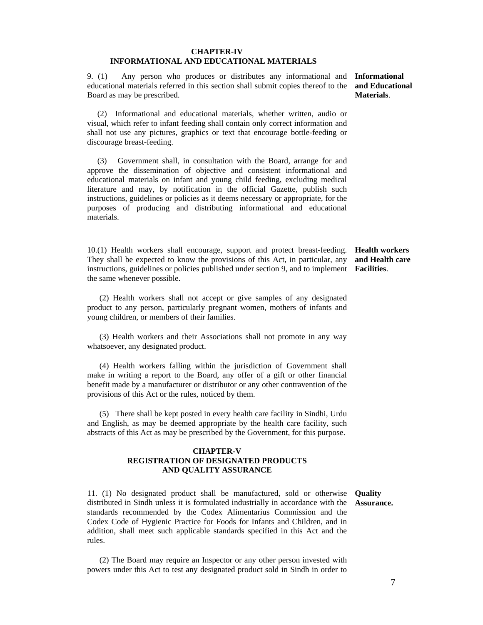#### **CHAPTER-IV INFORMATIONAL AND EDUCATIONAL MATERIALS**

9. (1) Any person who produces or distributes any informational and educational materials referred in this section shall submit copies thereof to the Board as may be prescribed.

 (2) Informational and educational materials, whether written, audio or visual, which refer to infant feeding shall contain only correct information and shall not use any pictures, graphics or text that encourage bottle-feeding or discourage breast-feeding.

 (3) Government shall, in consultation with the Board, arrange for and approve the dissemination of objective and consistent informational and educational materials on infant and young child feeding, excluding medical literature and may, by notification in the official Gazette, publish such instructions, guidelines or policies as it deems necessary or appropriate, for the purposes of producing and distributing informational and educational materials.

10.(1) Health workers shall encourage, support and protect breast-feeding. They shall be expected to know the provisions of this Act, in particular, any instructions, guidelines or policies published under section 9, and to implement the same whenever possible.

 (2) Health workers shall not accept or give samples of any designated product to any person, particularly pregnant women, mothers of infants and young children, or members of their families.

 (3) Health workers and their Associations shall not promote in any way whatsoever, any designated product.

 (4) Health workers falling within the jurisdiction of Government shall make in writing a report to the Board, any offer of a gift or other financial benefit made by a manufacturer or distributor or any other contravention of the provisions of this Act or the rules, noticed by them.

 (5) There shall be kept posted in every health care facility in Sindhi, Urdu and English, as may be deemed appropriate by the health care facility, such abstracts of this Act as may be prescribed by the Government, for this purpose.

## **CHAPTER-V REGISTRATION OF DESIGNATED PRODUCTS AND QUALITY ASSURANCE**

11. (1) No designated product shall be manufactured, sold or otherwise distributed in Sindh unless it is formulated industrially in accordance with the standards recommended by the Codex Alimentarius Commission and the Codex Code of Hygienic Practice for Foods for Infants and Children, and in addition, shall meet such applicable standards specified in this Act and the rules.

 (2) The Board may require an Inspector or any other person invested with powers under this Act to test any designated product sold in Sindh in order to

**Informational and Educational Materials**.

**Health workers and Health care Facilities**.

**Quality Assurance.**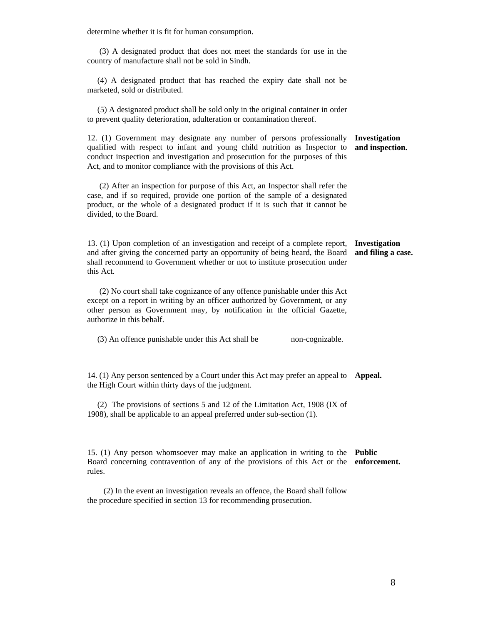determine whether it is fit for human consumption.

 (3) A designated product that does not meet the standards for use in the country of manufacture shall not be sold in Sindh.

 (4) A designated product that has reached the expiry date shall not be marketed, sold or distributed.

 (5) A designated product shall be sold only in the original container in order to prevent quality deterioration, adulteration or contamination thereof.

12. (1) Government may designate any number of persons professionally qualified with respect to infant and young child nutrition as Inspector to conduct inspection and investigation and prosecution for the purposes of this Act, and to monitor compliance with the provisions of this Act.

 (2) After an inspection for purpose of this Act, an Inspector shall refer the case, and if so required, provide one portion of the sample of a designated product, or the whole of a designated product if it is such that it cannot be divided, to the Board.

13. (1) Upon completion of an investigation and receipt of a complete report, **Investigation**  and after giving the concerned party an opportunity of being heard, the Board shall recommend to Government whether or not to institute prosecution under this Act.

 (2) No court shall take cognizance of any offence punishable under this Act except on a report in writing by an officer authorized by Government, or any other person as Government may, by notification in the official Gazette, authorize in this behalf.

(3) An offence punishable under this Act shall be non-cognizable.

14. (1) Any person sentenced by a Court under this Act may prefer an appeal to **Appeal.**  the High Court within thirty days of the judgment.

 (2) The provisions of sections 5 and 12 of the Limitation Act, 1908 (IX of 1908), shall be applicable to an appeal preferred under sub-section (1).

15. (1) Any person whomsoever may make an application in writing to the **Public**  Board concerning contravention of any of the provisions of this Act or the **enforcement.** rules.

 (2) In the event an investigation reveals an offence, the Board shall follow the procedure specified in section 13 for recommending prosecution.

**Investigation and inspection.**

**and filing a case.**